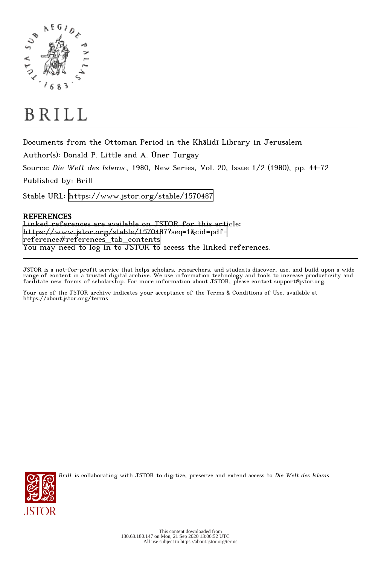

# BRILL

Documents from the Ottoman Period in the Khālidī Library in Jerusalem

Author(s): Donald P. Little and A. Üner Turgay

Source: Die Welt des Islams , 1980, New Series, Vol. 20, Issue 1/2 (1980), pp. 44-72

Published by: Brill

Stable URL:<https://www.jstor.org/stable/1570487>

# **REFERENCES**

Linked references are available on JSTOR for this article: [https://www.jstor.org/stable/1570487?seq=1&cid=pdf](https://www.jstor.org/stable/1570487?seq=1&cid=pdf-reference#references_tab_contents)[reference#references\\_tab\\_contents](https://www.jstor.org/stable/1570487?seq=1&cid=pdf-reference#references_tab_contents) You may need to log in to JSTOR to access the linked references.

JSTOR is a not-for-profit service that helps scholars, researchers, and students discover, use, and build upon a wide range of content in a trusted digital archive. We use information technology and tools to increase productivity and facilitate new forms of scholarship. For more information about JSTOR, please contact support@jstor.org.

Your use of the JSTOR archive indicates your acceptance of the Terms & Conditions of Use, available at https://about.jstor.org/terms



Brill is collaborating with JSTOR to digitize, preserve and extend access to Die Welt des Islams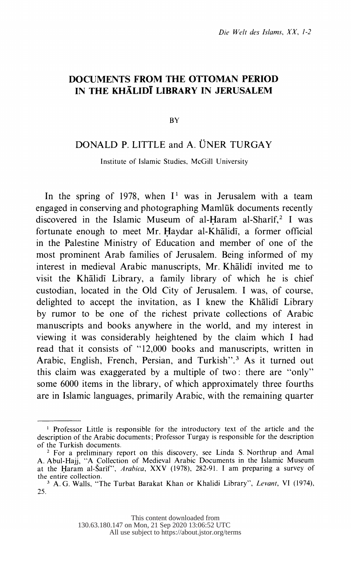## DOCUMENTS FROM THE OTTOMAN PERIOD IN THE KHALIDI LIBRARY IN JERUSALEM

BY

#### DONALD P. LITTLE and A. ÜNER TURGAY

Institute of Islamic Studies, McGill University

In the spring of 1978, when  $I<sup>1</sup>$  was in Jerusalem with a team engaged in conserving and photographing Mamluk documents recently discovered in the Islamic Museum of al-Haram al-Sharif,<sup>2</sup> I was fortunate enough to meet Mr. Haydar al-Khalidi, a former official in the Palestine Ministry of Education and member of one of the most prominent Arab families of Jerusalem. Being informed of my interest in medieval Arabic manuscripts, Mr. Khalidi invited me to visit the Khalidi Library, a family library of which he is chief custodian, located in the Old City of Jerusalem. I was, of course, delighted to accept the invitation, as I knew the Khalidi Library by rumor to be one of the richest private collections of Arabic manuscripts and books anywhere in the world, and my interest in viewing it was considerably heightened by the claim which I had read that it consists of "12,000 books and manuscripts, written in Arabic, English, French, Persian, and Turkish".3 As it turned out this claim was exaggerated by a multiple of two: there are "only" some 6000 items in the library, of which approximately three fourths are in Islamic languages, primarily Arabic, with the remaining quarter

130.63.180.147 on Mon, 21 Sep 2020 13:06:52 UTC

All use subject to https://about.jstor.org/terms

<sup>&</sup>lt;sup>1</sup> Professor Little is responsible for the introductory text of the article and the description of the Arabic documents; Professor Turgay is responsible for the description of the Turkish documents.

<sup>&</sup>lt;sup>2</sup> For a preliminary report on this discovery, see Linda S. Northrup and Amal A. Abul-Hajj, "A Collection of Medieval Arabic Documents in the Islamic Museum at the Haram al-Sarif", Arabica, XXV (1978), 282-91. I am preparing a survey of the entire collection.

<sup>&</sup>lt;sup>3</sup> A. G. Walls, "The Turbat Barakat Khan or Khalidi Library", Levant, VI (1974), 25.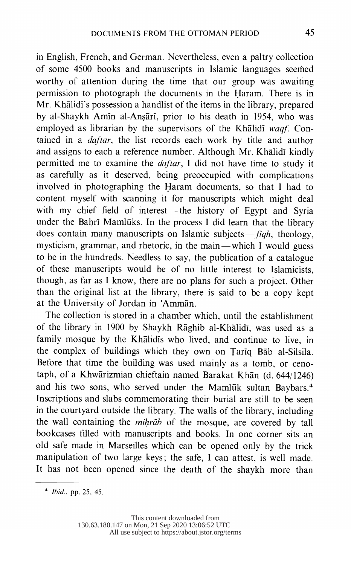in English, French, and German. Nevertheless, even a paltry collection of some 4500 books and manuscripts in Islamic languages seermed worthy of attention during the time that our group was awaiting permission to photograph the documents in the Haram. There is in Mr. Khalidi's possession a handlist of the items in the library, prepared by al-Shaykh Amin al-Ansari, prior to his death in 1954, who was employed as librarian by the supervisors of the Khalidi waqf. Contained in a *daftar*, the list records each work by title and author and assigns to each a reference number. Although Mr. Khalidi kindly permitted me to examine the daftar, I did not have time to study it as carefully as it deserved, being preoccupied with complications involved in photographing the Haram documents, so that I had to content myself with scanning it for manuscripts which might deal with my chief field of interest—the history of Egypt and Syria under the Bahrī Mamlūks. In the process I did learn that the library does contain many manuscripts on Islamic subjects—*figh*, theology, mysticism, grammar, and rhetoric, in the main—which I would guess to be in the hundreds. Needless to say, the publication of a catalogue of these manuscripts would be of no little interest to Islamicists, though, as far as I know, there are no plans for such a project. Other than the original list at the library, there is said to be a copy kept at the University of Jordan in 'Amman.

 The collection is stored in a chamber which, until the establishment of the library in 1900 by Shaykh Raghib al-Khalidi, was used as a family mosque by the Khalidis who lived, and continue to live, in the complex of buildings which they own on Tariq Bab al-Silsila. Before that time the building was used mainly as a tomb, or ceno taph, of a Khwārizmian chieftain named Barakat Khān (d. 644/1246) and his two sons, who served under the Mamluk sultan Baybars.<sup>4</sup> Inscriptions and slabs commemorating their burial are still to be seen in the courtyard outside the library. The walls of the library, including the wall containing the mihrab of the mosque, are covered by tall bookcases filled with manuscripts and books. In one corner sits an old safe made in Marseilles which can be opened only by the trick manipulation of two large keys; the safe, I can attest, is well made. It has not been opened since the death of the shaykh more than

 <sup>4</sup> Ibid., pp. 25, 45.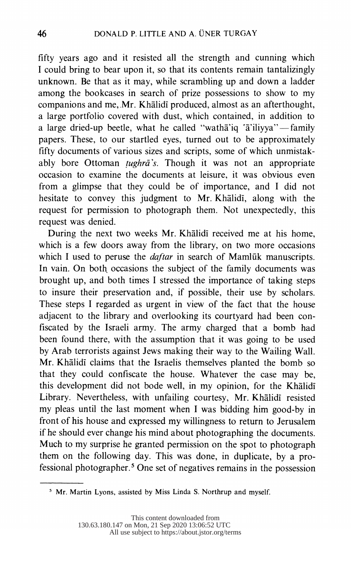fifty years ago and it resisted all the strength and cunning which I could bring to bear upon it, so that its contents remain tantalizingly unknown. Be that as it may, while scrambling up and down a ladder among the bookcases in search of prize possessions to show to my companions and me,.Mr. Khalidi produced, almost as an afterthought, a large portfolio covered with dust, which contained, in addition to a large dried-up beetle, what he called "watha" iq 'a'iliyya"—family papers. These, to our startled eyes, turned out to be approximately fifty documents of various sizes and scripts, some of which unmistak ably bore Ottoman *tughrā's*. Though it was not an appropriate occasion to examine the documents at leisure, it was obvious even from a glimpse that they could be of importance, and I did not hesitate to convey this judgment to Mr. Khalidi, along with the request for permission to photograph them. Not unexpectedly, this request was denied.

 During the next two weeks Mr. Khalidi received me at his home, which is a few doors away from the library, on two more occasions which I used to peruse the *daftar* in search of Mamluik manuscripts. In vain. On both occasions the subject of the family documents was brought up, and both times I stressed the importance of taking steps to insure their preservation and, if possible, their use by scholars. These steps I regarded as urgent in view of the fact that the house adjacent to the library and overlooking its courtyard had been con fiscated by the Israeli army. The army charged that a bomb had been found there, with the assumption that it was going to be used by Arab terrorists against Jews making their way to the Wailing Wall. Mr. Khalidi claims that the Israelis themselves planted the bomb so that they could confiscate the house. Whatever the case may be, this development did not bode well, in my opinion, for the Khalidi Library. Nevertheless, with unfailing courtesy, Mr. Khalidi resisted my pleas until the last moment when I was bidding him good-by in front of his house and expressed my willingness to return to Jerusalem if he should ever change his mind about photographing the documents. Much to my surprise he granted permission on the spot to photograph them on the following day. This was done, in duplicate, by a pro fessional photographer.5 One set of negatives remains in the possession

 <sup>5</sup> Mr. Martin Lyons, assisted by Miss Linda S. Northrup and myself.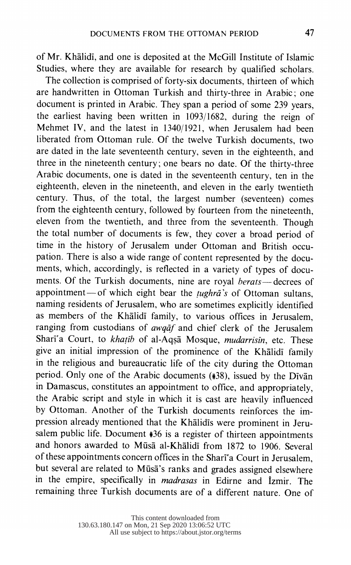of Mr. Khalidi, and one is deposited at the McGill Institute of Islamic Studies, where they are available for research by qualified scholars.

 The collection is comprised of forty-six documents, thirteen of which are handwritten in Ottoman Turkish and thirty-three in Arabic; one document is printed in Arabic. They span a period of some 239 years, the earliest having been written in 1093/1682, during the reign of Mehmet IV, and the latest in 1340/1921, when Jerusalem had been liberated from Ottoman rule. Of the twelve Turkish documents, two are dated in the late seventeenth century, seven in the eighteenth, and three in the nineteenth century; one bears no date. Of the thirty-three Arabic documents, one is dated in the seventeenth century, ten in the eighteenth, eleven in the nineteenth, and eleven in the early twentieth century. Thus, of the total, the largest number (seventeen) comes from the eighteenth century, followed by fourteen from the nineteenth, eleven from the twentieth, and three from the seventeenth. Though the total number of documents is few, they cover a broad period of time in the history of Jerusalem under Ottoman and British occu pation. There is also a wide range of content represented by the docu ments, which, accordingly, is reflected in a variety of types of docu ments. Of the Turkish documents, nine are royal berats-decrees of appointment-of which eight bear the tughra's of Ottoman sultans, naming residents of Jerusalem, who are sometimes explicitly identified as members of the Khalidi family, to various offices in Jerusalem, ranging from custodians of *awqaf* and chief clerk of the Jerusalem Shari'a Court, to khatib of al-Aqsa Mosque, mudarrisin, etc. These give an initial impression of the prominence of the Khalidi family in the religious and bureaucratic life of the city during the Ottoman period. Only one of the Arabic documents (#38), issued by the Divan in Damascus, constitutes an appointment to office, and appropriately, the Arabic script and style in which it is cast are heavily influenced by Ottoman. Another of the Turkish documents reinforces the im pression already mentioned that the Khalidis were prominent in Jeru salem public life. Document #36 is a register of thirteen appointments and honors awarded to Mūsā al-Khālidī from 1872 to 1906. Several of these appointments concern offices in the Shari'a Court in Jerusalem, but several are related to Mūsā's ranks and grades assigned elsewhere in the empire, specifically in *madrasas* in Edirne and Izmir. The remaining three Turkish documents are of a different nature. One of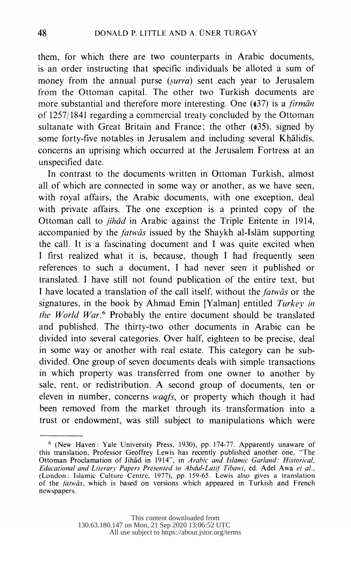them, for which there are two counterparts in Arabic documents, is an order instructing that specific individuals be alloted a sum of money from the annual purse *(surra)* sent each year to Jerusalem from the Ottoman capital. The other two Turkish documents are more substantial and therefore more interesting. One (#37) is a *firman*  of 1257/1841 regarding a commercial treaty concluded by the Ottoman sultanate with Great Britain and France; the other (#35), signed by some forty-five notables in Jerusalem and including several Khalidis, concerns an uprising which occurred at the Jerusalem Fortress at an unspecified date.

 In contrast to the documents written in Ottoman Turkish, almost all of which are connected in some way or another, as we have seen, with royal affairs, the Arabic documents, with one exception, deal with private affairs. The one exception is a printed copy of the Ottoman call to *jihad* in Arabic against the Triple Entente in 1914, accompanied by the *fatwas* issued by the Shaykh al-Islam supporting the call. It is a fascinating document and I was quite excited when I first realized what it is, because, though I had frequently seen references to such a document, I had never seen it published or translated. I have still not found publication of the entire text, but I have located a translation of the call itself, without the *fatwas* or the signatures, in the book by Ahmad Emin [Yalman] entitled Turkey in the World War.<sup>6</sup> Probably the entire document should be translated and published. The thirty-two other documents in Arabic can be divided into several categories. Over half, eighteen to be precise, deal in some way or another with real estate. This category can be sub divided. One group of seven documents deals with simple transactions in which property was transferred from one owner to another by sale, rent, or redistribution. A second group of documents, ten or eleven in number, concerns waqfs, or property which though it had been removed from the market through its transformation into a trust or endowment, was still subject to manipulations which were

 <sup>6 (</sup>New Haven: Yale University Press, 1930), pp. 174-77. Apparently unaware of this translation, Professor Geoffrey Lewis has recently published another one, "The Ottoman Proclamation of Jihad in 1914", in Arabic and Islamic Garland. Historical, Educational and Literary Papers Presented to Abdul-Latif Tibawi, ed. Adel Awa et al., (London: Islamic Culture Centre, 1977), pp. 159-65. Lewis also gives a translation of the fatwas, which is based on versions which appeared in Turkish and French newspapers.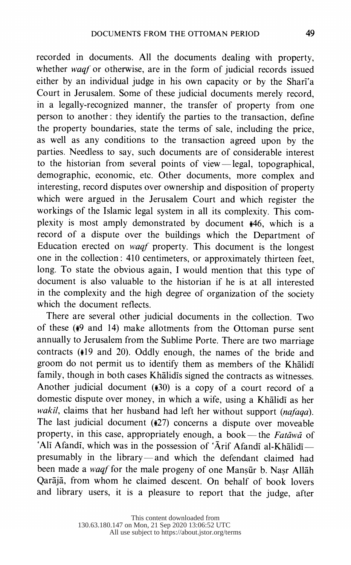recorded in documents. All the documents dealing with property, whether *waaf* or otherwise, are in the form of judicial records issued either by an individual judge in his own capacity or by the Shari'a Court in Jerusalem. Some of these judicial documents merely record, in a legally-recognized manner, the transfer of property from one person to another: they identify the parties to the transaction, define the property boundaries, state the terms of sale, including the price, as well as any conditions to the transaction agreed upon by the parties. Needless to say, such documents are of considerable interest to the historian from several points of view-legal, topographical, demographic, economic, etc. Other documents, more complex and interesting, record disputes over ownership and disposition of property which were argued in the Jerusalem Court and which register the workings of the Islamic legal system in all its complexity. This com plexity is most amply demonstrated by document #46, which is a record of a dispute over the buildings which the Department of Education erected on waqf property. This document is the longest one in the collection: 410 centimeters, or approximately thirteen feet, long. To state the obvious again, I would mention that this type of document is also valuable to the historian if he is at all interested in the complexity and the high degree of organization of the society which the document reflects.

 There are several other judicial documents in the collection. Two of these (#9 and 14) make allotments from the Ottoman purse sent annually to Jerusalem from the Sublime Porte. There are two marriage contracts (#19 and 20). Oddly enough, the names of the bride and groom do not permit us to identify them as members of the Khalidi family, though in both cases Khalidis signed the contracts as witnesses. Another judicial document (#30) is a copy of a court record of a domestic dispute over money, in which a wife, using a Khalidi as her wakil, claims that her husband had left her without support (nafaqa). The last judicial document (#27) concerns a dispute over moveable property, in this case, appropriately enough, a book-the  $Fat\bar{a}w\bar{a}$  of 'Ali Afandi, which was in the possession of 'Ārif Afandi al-Khālidīpresumably in the library-and which the defendant claimed had been made a waaf for the male progeny of one Mansur b. Nasr Allah Qaraja, from whom he claimed descent. On behalf of book lovers and library users, it is a pleasure to report that the judge, after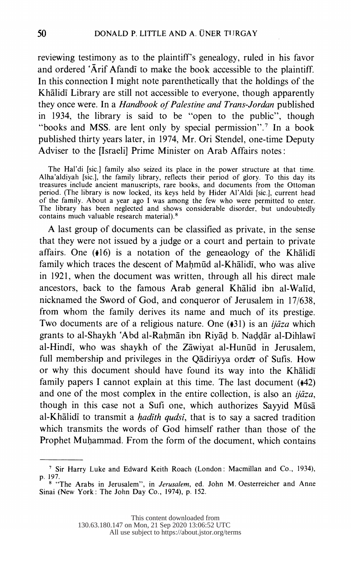reviewing testimony as to the plaintiff's genealogy, ruled in his favor and ordered 'Arif Afandi to make the book accessible to the plaintiff. In this connection I might note parenthetically that the holdings of the Khalidi Library are still not accessible to everyone, though apparently they once were. In a Handbook of Palestine and Trans-Jordan published in 1934, the library is said to be "open to the public", though "books and MSS. are lent only by special permission".7 In a book published thirty years later, in 1974, Mr. Ori Stendel, one-time Deputy Adviser to the [Israeli] Prime Minister on Arab Affairs notes:

 The Hal'di [sic.] family also seized its place in the power structure at that time. Alha'aldiyah [sic.], the family library, reflects their period of glory. To this day its treasures include ancient manuscripts, rare books, and documents from the Ottoman period. (The library is now locked, its keys held by Hider Al'Aldi [sic.], current head of the family. About a year ago I was among the few who were permitted to enter. The library has been neglected and shows considerable disorder, but undoubtedly contains much valuable research material).8

 A last group of documents can be classified as private, in the sense that they were not issued by a judge or a court and pertain to private affairs. One  $(416)$  is a notation of the geneaology of the Khalidi family which traces the descent of Mahmud al-Khalidi, who was alive in 1921, when the document was written, through all his direct male ancestors, back to the famous Arab general Khalid ibn al-Walid, nicknamed the Sword of God, and conqueror of Jerusalem in 17/638, from whom the family derives its name and much of its prestige. Two documents are of a religious nature. One  $(*31)$  is an *ijāza* which grants to al-Shaykh 'Abd al-Rahman ibn Riyad b. Naddar al-Dihlawi al-Hindi, who was shaykh of the Zāwiyat al-Hunūd in Jerusalem, full membership and privileges in the Qādiriyya order of Sufis. How or why this document should have found its way into the Khalidi family papers I cannot explain at this time. The last document (#42) and one of the most complex in the entire collection, is also an *ijāza*, though in this case not a Sufi one, which authorizes Sayyid Mūsā al-Khālidī to transmit a *hadith qudsi*, that is to say a sacred tradition which transmits the words of God himself rather than those of the Prophet Muhammad. From the form of the document, which contains

 <sup>7</sup> Sir Harry Luke and Edward Keith Roach (London: Macmillan and Co., 1934),

p. 197.<br><sup>8</sup> "The Arabs in Jerusalem", in *Jerusalem*, ed. John M. Oesterreicher and Anness Sinai (New York: The John Day Co., 1974), p. 152.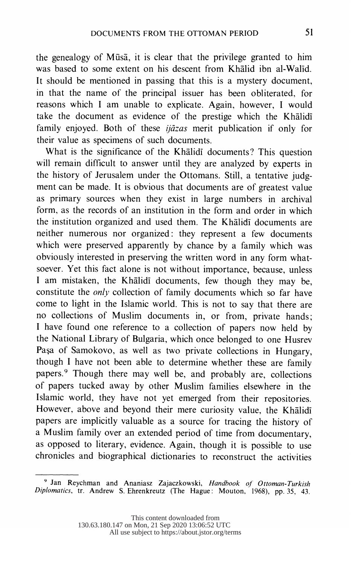the genealogy of Musa, it is clear that the privilege granted to him was based to some extent on his descent from Khalid ibn al-Walid. It should be mentioned in passing that this is a mystery document, in that the name of the principal issuer has been obliterated, for reasons which I am unable to explicate. Again, however, I would take the document as evidence of the prestige which the Khalidi family enjoyed. Both of these *ijazas* merit publication if only for their value as specimens of such documents.

 What is the significance of the Khalidi documents? This question will remain difficult to answer until they are analyzed by experts in the history of Jerusalem under the Ottomans. Still, a tentative judg ment can be made. It is obvious that documents are of greatest value as primary sources when they exist in large numbers in archival form, as the records of an institution in the form and order in which the institution organized and used them. The Khalidi documents are neither numerous nor organized: they represent a few documents which were preserved apparently by chance by a family which was obviously interested in preserving the written word in any form what soever. Yet this fact alone is not without importance, because, unless I am mistaken, the Khalidi documents, few though they may be, constitute the only collection of family documents which so far have come to light in the Islamic world. This is not to say that there are no collections of Muslim documents in, or from, private hands; I have found one reference to a collection of papers now held by the National Library of Bulgaria, which once belonged to one Husrev Pasa of Samokovo, as well as two private collections in Hungary, though I have not been able to determine whether these are family papers.9 Though there may well be, and probably are, collections of papers tucked away by other Muslim families elsewhere in the Islamic world, they have not yet emerged from their repositories. However, above and beyond their mere curiosity value, the Khalidi papers are implicitly valuable as a source for tracing the history of a Muslim family over an extended period of time from documentary, as opposed to literary, evidence. Again, though it is possible to use chronicles and biographical dictionaries to reconstruct the activities

<sup>&</sup>lt;sup>9</sup> Jan Reychman and Ananiasz Zajaczkowski, Handbook of Ottoman-Turkish Diplomatics, tr. Andrew S. Ehrenkreutz (The Hague: Mouton, 1968), pp. 35, 43.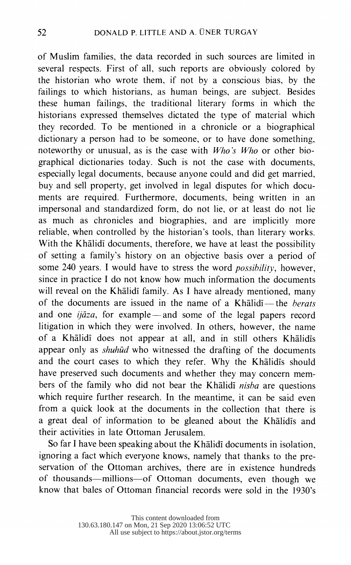of Muslim families, the data recorded in such sources are limited in several respects. First of all, such reports are obviously colored by the historian who wrote them, if not by a conscious bias, by the failings to which historians, as human beings, are subject. Besides these human failings, the traditional literary forms in which the historians expressed themselves dictated the type of material which they recorded. To be mentioned in a chronicle or a biographical dictionary a person had to be someone, or to have done something, noteworthy or unusual, as is the case with  $Who's Who$  or other bio graphical dictionaries today. Such is not the case with documents, especially legal documents, because anyone could and did get married, buy and sell property, get involved in legal disputes for which docu ments are required. Furthermore, documents, being written in an impersonal and standardized form, do not lie, or at least do not lie as much as chronicles and biographies, and are implicitly more reliable, when controlled by the historian's tools, than literary works. With the Khalidi documents, therefore, we have at least the possibility of setting a family's history on an objective basis over a period of some 240 years. I would have to stress the word *possibility*, however, since in practice I do not know how much information the documents will reveal on the Khalidi family. As I have already mentioned, many of the documents are issued in the name of a Khalidi-the *berats* and one  $ij\tilde{a}za$ , for example and some of the legal papers record litigation in which they were involved. In others, however, the name of a Khalidi does not appear at all, and in still others Khalidis appear only as shuhud who witnessed the drafting of the documents and the court cases to which they refer. Why the Khalidis should have preserved such documents and whether they may concern mem bers of the family who did not bear the Khalidi nisba are questions which require further research. In the meantime, it can be said even from a quick look at the documents in the collection that there is a great deal of information to be gleaned about the Khalidis and their activities in late Ottoman Jerusalem.

 So far I have been speaking about the Khalidi documents in isolation, ignoring a fact which everyone knows, namely that thanks to the pre servation of the Ottoman archives, there are in existence hundreds of thousands-millions-of Ottoman documents, even though we know that bales of Ottoman financial records were sold in the 1930's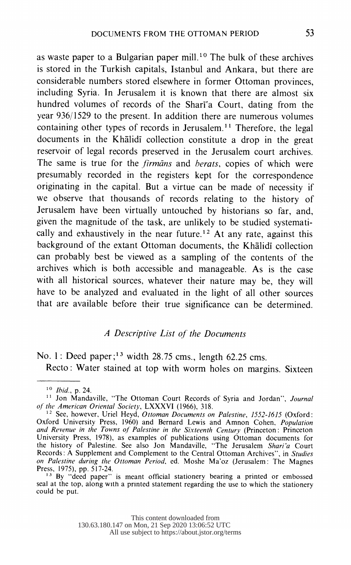as waste paper to a Bulgarian paper mill.<sup>10</sup> The bulk of these archives is stored in the Turkish capitals, Istanbul and Ankara, but there are considerable numbers stored elsewhere in former Ottoman provinces, including Syria. In Jerusalem it is known that there are almost six hundred volumes of records of the Shari'a Court, dating from the year 936/1529 to the present. In addition there are numerous volumes containing other types of records in Jerusalem.<sup>11</sup> Therefore, the legal documents in the Khalidi collection constitute a drop in the great reservoir of legal records preserved in the Jerusalem court archives. The same is true for the *firmans* and *berats*, copies of which were presumably recorded in the registers kept for the correspondence originating in the capital. But a virtue can be made of necessity if we observe that thousands of records relating to the history of Jerusalem have been virtually untouched by historians so far, and, given the magnitude of the task, are unlikely to be studied systemati cally and exhaustively in the near future.<sup>12</sup> At any rate, against this background of the extant Ottoman documents, the Khalidi collection can probably best be viewed as a sampling of the contents of the archives which is both accessible and manageable. As is the case with all historical sources, whatever their nature may be, they will have to be analyzed and evaluated in the light of all other sources that are available before their true significance can be determined.

### A Descriptive List of the Documents

No. 1: Deed paper;<sup>13</sup> width 28.75 cms., length 62.25 cms.

Recto: Water stained at top with worm holes on margins. Sixteen

 $10$  *Ibid.*, p. 24.

<sup>&</sup>lt;sup>11</sup> Jon Mandaville, "The Ottoman Court Records of Syria and Jordan", Journal of the American Oriental Society, LXXXVI (1966), 318.

<sup>&</sup>lt;sup>12</sup> See, however, Uriel Heyd, Ottoman Documents on Palestine, 1552-1615 (Oxford: Oxford University Press, 1960) and Bernard Lewis and Amnon Cohen, Population and Revenue in the Towns of Palestine in the Sixteenth Century (Princeton: Princeton University Press, 1978), as examples of publications using Ottoman documents for<br>the history of Palestine. See also Jon Mandaville, "The Jerusalem *Shari'a* Court Records: A Supplement and Complement to the Central Ottoman Archives", in Studies on Palestine during the Ottoman Period, ed. Moshe Ma'oz (Jerusalem: The Magnes Press, 1975), pp. 517-24.

<sup>&</sup>lt;sup>13</sup> By "deed paper" is meant official stationery bearing a printed or embossed seal at the top, along with a printed statement regarding the use to which the stationery could be put.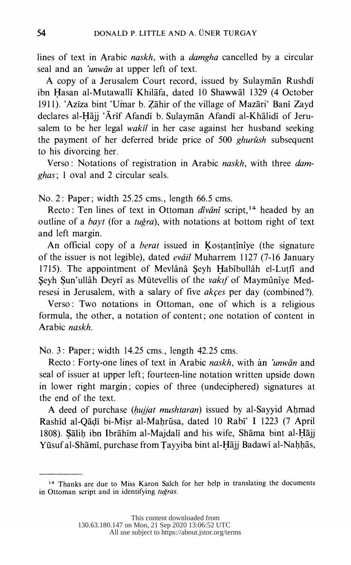lines of text in Arabic naskh, with a damgha cancelled by a circular seal and an 'unwan at upper left of text.

 A copy of a Jerusalem Court record, issued by Sulayman Rushdi ibn Hasan al-Mutawalli Khilafa, dated 10 Shawwal 1329 (4 October 1911). 'Aziza bint 'Umar b. Zahir of the village of Mazari' Bani Zayd declares al-Hajj 'Arif Afandi b. Sulayman Afandi al-Khalidi of Jeru salem to be her legal wakil in her case against her husband seeking the payment of her deferred bride price of 500 ghurush subsequent to his divorcing her.

 Verso: Notations of registration in Arabic naskh, with three dam ghas; 1 oval and 2 circular seals.

No. 2: Paper; width 25.25 cms., length 66.5 cms.

Recto: Ten lines of text in Ottoman *divânî* script,<sup>14</sup> headed by an outline of a *bayt* (for a tugra), with notations at bottom right of text and left margin.

An official copy of a *berat* issued in Kostantiniye (the signature of the issuer is not legible), dated evail Muharrem 1127 (7-16 January 1715). The appointment of Mevlana \$eyh Habibullah el-Lutfi and Seyh Sun'ullâh Deyrî as Mütevellis of the vakif of Maymûnîye Medresesi in Jerusalem, with a salary of five akces per day (combined?).

 Verso: Two notations in Ottoman, one of which is a religious formula, the other, a notation of content; one notation of content in Arabic naskh.

No. 3: Paper; width 14.25 cms., length 42.25 cms.

Recto: Forty-one lines of text in Arabic naskh, with an 'unwan and seal of issuer at upper left; fourteen-line notation written upside down in lower right margin; copies of three (undeciphered) signatures at the end of the text.

 A deed of purchase (hujjat mushtaran) issued by al-Sayyid Ahmad Rashid al-Qadi bi-Misr al-Mahriisa, dated 10 Rabi' I 1223 (7 April 1808). Salih ibn Ibrahim al-Majdali and his wife, Shama bint al-Hajj Yūsuf al-Shāmī, purchase from Tayyiba bint al-Hājj Badawī al-Naḥḥās,

<sup>&</sup>lt;sup>14</sup> Thanks are due to Miss Karon Salch for her help in translating the documents in Ottoman script and in identifying tugras.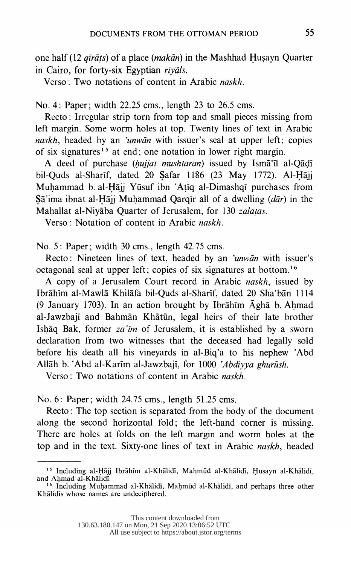one half (12 *girāts*) of a place *(makān)* in the Mashhad Husayn Quarter in Cairo, for forty-six Egyptian rivals.

Verso: Two notations of content in Arabic naskh.

No. 4: Paper; width 22.25 cms., length 23 to 26.5 cms.

 Recto: Irregular strip torn from top and small pieces missing from left margin. Some worm holes at top. Twenty lines of text in Arabic naskh, headed by an 'unwan with issuer's seal at upper left; copies of six signatures<sup>15</sup> at end; one notation in lower right margin.

A deed of purchase (hujjat mushtaran) issued by Isma<sup>ril</sup> al-Qadi bil-Quds al-Sharif, dated 20 Safar 1186 (23 May 1772). Al-Hajj Muhammad b. al-Hāji Yūsuf ibn 'Atīq al-Dimashqī purchases from  $S\bar{a}$ 'ima ibnat al-H $\bar{a}$ ii Muhammad Qarqir all of a dwelling (*dar*) in the Mahallat al-Niyaba Quarter of Jerusalem, for 130 zalatas.

Verso: Notation of content in Arabic naskh.

No. 5: Paper; width 30 cms., length 42.75 cms.

Recto: Nineteen lines of text, headed by an 'unwan with issuer's octagonal seal at upper left; copies of six signatures at bottom.16

 A copy of a Jerusalem Court record in Arabic naskh, issued by Ibrahim al-Mawla Khilafa bil-Quds al-Sharif, dated 20 Sha'ban 1114 (9 January 1703). In an action brought by Ibrahim Agha b. Ahmad al-Jawzbaji and Bahmān Khātūn, legal heirs of their late brother Ishaq Bak, former za'im of Jerusalem, it is established by a sworn declaration from two witnesses that the deceased had legally sold before his death all his vineyards in al-Biq'a to his nephew 'Abd Allāh b. 'Abd al-Karīm al-Jawzbajī, for 1000 'Abdiyya ghurūsh.

Verso: Two notations of content in Arabic naskh.

No. 6: Paper; width 24.75 cms., length 51.25 cms.

 Recto: The top section is separated from the body of the document along the second horizontal fold; the left-hand corner is missing. There are holes at folds on the left margin and worm holes at the top and in the text. Sixty-one lines of text in Arabic naskh, headed

130.63.180.147 on Mon, 21 Sep 2020 13:06:52 UTC

All use subject to https://about.jstor.org/terms

<sup>&</sup>lt;sup>15</sup> Including al-Hājj Ibrāhīm al-Khālidī, Mahmūd al-Khālidī, Husayn al-Khālidī, and Ahmad al-Khalidi.

<sup>&</sup>lt;sup>16</sup> Including Muhammad al-Khālidī, Mahmūd al-Khālidī, and perhaps three other Khalidis whose names are undeciphered.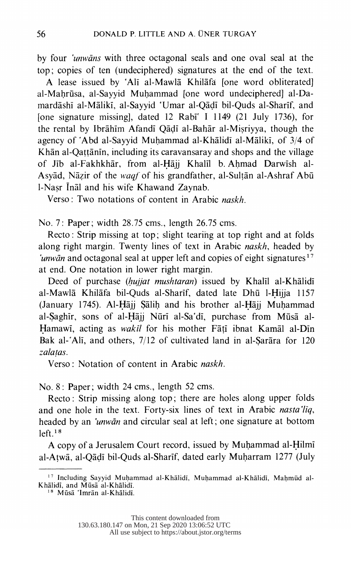by four 'unwans with three octagonal seals and one oval seal at the top; copies of ten (undeciphered) signatures at the end of the text.

 A lease issued by 'Ali al-Mawla Khilafa [one word obliterated] al-Mahrusa, al-Sayyid Muhammad [one word undeciphered] al-Da mardashi al-Maliki, al-Sayyid 'Umar al-Qadi bil-Quds al-Sharif, and [one signature missing], dated 12 Rabi<sup>\*</sup> I 1149 (21 July 1736), for the rental by Ibrahim Afandi Qadi al-Bahar al-Misriyya, though the agency of 'Abd al-Sayyid Muhammad al-Khalidi al-Maliki, of 3/4 of Khān al-Qattānin, including its caravansaray and shops and the village of Jib al-Fakhkhar, from al-Hajj Khalil b. Ahmad Darwish al- Asyad, Nazir of the *waqf* of his grandfather, al-Sultan al-Ashraf Abu l-Nasr Inal and his wife Khawand Zaynab.

Verso: Two notations of content in Arabic naskh.

No. 7: Paper; width 28.75 cms., length 26.75 cms.

 Recto: Strip missing at top; slight tearing at top right and at folds along right margin. Twenty lines of text in Arabic naskh, headed by 'unwān and octagonal seal at upper left and copies of eight signatures<sup>17</sup> at end. One notation in lower right margin.

Deed of purchase (hujjat mushtaran) issued by Khalil al-Khālidī al-Mawlā Khilāfa bil-Quds al-Sharīf, dated late Dhū l-Hijja 1157 (January 1745). Al-Hajj Salih and his brother al-Hajj Muhammad al-Saghir, sons of al-Hājj Nūrī al-Sa'dī, purchase from Mūsā al-Hamawi, acting as *wakil* for his mother Fati ibnat Kamal al-Din Bak al-'Alī, and others, 7/12 of cultivated land in al-Sarāra for 120 zalatas.

Verso: Notation of content in Arabic naskh.

No. 8: Paper; width 24 cms., length 52 cms.

 Recto: Strip missing along top; there are holes along upper folds and one hole in the text. Forty-six lines of text in Arabic *nasta'lig*, headed by an 'unwan and circular seal at left; one signature at bottom  $left.18$ 

 A copy of a Jerusalem Court record, issued by Muhammad al-Hilmi al-Atwa, al-Qadi bil-Quds al-Sharif, dated early Muharram 1277 (July

 <sup>17</sup> Including Sayyid Muhammad al-Khalidi, Muhammad al-Khalidi, Mahmid al- Khalidi, and Musa al-Khalidi.

<sup>&</sup>lt;sup>18</sup> Mūsā 'Imrān al-Khālidī.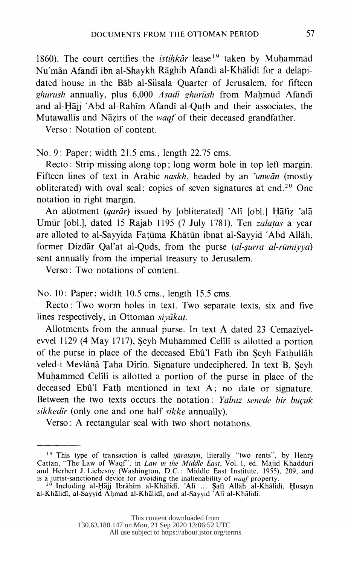1860). The court certifies the *istihkar* lease<sup>19</sup> taken by Muhammad Nu'man Afandi ibn al-Shaykh Raghib Afandi al-Khalidi for a delapi dated house in the Bab al-Silsala Quarter of Jerusalem, for fifteen ghurush annually, plus  $6,000$  Asadi ghurush from Mahmud Afandi and al-Hajj 'Abd al-Rahim Afandi al-Qutb and their associates, the Mutawallis and Nāzirs of the *waqf* of their deceased grandfather.

Verso: Notation of content.

No. 9: Paper; width 21.5 cms., length 22.75 cms.

 Recto: Strip missing along top; long worm hole in top left margin. Fifteen lines of text in Arabic *naskh*, headed by an 'unwan (mostly obliterated) with oval seal; copies of seven signatures at end.20 One notation in right margin.

An allotment (qarār) issued by [obliterated] 'Alī [obl.] Hāfiz 'alā Umur [obl.], dated 15 Rajab 1195 (7 July 1781). Ten zalatas a year are alloted to al-Sayyida Fatūma Khātūn ibnat al-Sayyid 'Abd Allāh, former Dizdar Qal'at al-Quds, from the purse (al-surra al-rūmiyya) sent annually from the imperial treasury to Jerusalem.

Verso: Two notations of content.

No. 10: Paper; width 10.5 cms., length 15.5 cms.

 Recto: Two worm holes in text. Two separate texts, six and five lines respectively, in Ottoman siyâkat.

 Allotments from the annual purse. In text A dated 23 Cemaziyel evvel 1129 (4 May 1717), \$eyh Muhammed Celili is allotted a portion of the purse in place of the deceased Ebû'l Fath ibn Şeyh Fathullâh veled-i Mevlânâ Taha Dîrîn. Signature undeciphered. In text B. Sevh Muhammed Celili is allotted a portion of the purse in place of the deceased Ebi'l Fath mentioned in text A; no date or signature. Between the two texts occurs the notation: Yalnız senede bir buçuk sikkedir (only one and one half sikke annually).

Verso: A rectangular seal with two short notations.

<sup>&</sup>lt;sup>19</sup> This type of transaction is called *ijaratayn*, literally "two rents", by Henry Cattan, "The Law of Waqf", in *Law in the Middle East*, Vol. 1, ed. Majid Khadduri and Herbert J. Liebesny (Washington, D.C.: Middle East Institute, 1955), 209, and

is a jurist-sanctioned device for avoiding the inalienability of *waqf* property.<br><sup>20</sup> Including al-Hajj Ibrahim al-Khalidi, 'Ali ... Safi Allah al-Khalidi, Husayn al-Khalidi, al-Sayyid Ahmad al-Khalidi, and al-Sayyid 'Ali al-Khalidi.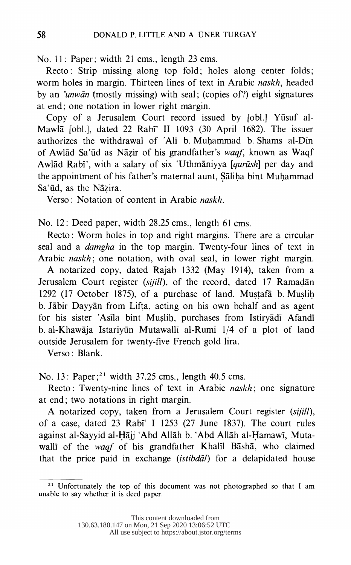No. 11: Paper; width 21 cms., length 23 cms.

 Recto: Strip missing along top fold; holes along center folds; worm holes in margin. Thirteen lines of text in Arabic naskh, headed by an 'unwan (mostly missing) with seal; (copies of?) eight signatures at end; one notation in lower right margin.

Copy of a Jerusalem Court record issued by [obl.] Yusuf al- Mawla [obl.], dated 22 Rabi' II 1093 (30 April 1682). The issuer authorizes the withdrawal of 'Ali b. Muhammad b. Shams al-Din of Awlad Sa'ud as Nazir of his grandfather's waqf, known as Waqf Awlād Rabī', with a salary of six 'Uthmāniyya [qurūsh] per day and the appointment of his father's maternal aunt, Saliha bint Muhammad Sa'ūd, as the Nāzira.

Verso: Notation of content in Arabic naskh.

No. 12: Deed paper, width 28.25 cms., length 61 cms.

 Recto: Worm holes in top and right margins. There are a circular seal and a *damgha* in the top margin. Twenty-four lines of text in Arabic naskh; one notation, with oval seal, in lower right margin.

 A notarized copy, dated Rajab 1332 (May 1914), taken from a Jerusalem Court register (sijill), of the record, dated 17 Ramadan 1292 (17 October 1875), of a purchase of land. Mustafa b. Muslih b. Jabir Dayyan from Lifta, acting on his own behalf and as agent for his sister 'Asila bint Muslih, purchases from Istiryadi Afandi b. al-Khawāja Istariyūn Mutawallī al-Rumī 1/4 of a plot of land outside Jerusalem for twenty-five French gold lira.

Verso: Blank.

No. 13: Paper;<sup>21</sup> width 37.25 cms., length 40.5 cms.

 Recto: Twenty-nine lines of text in Arabic naskh; one signature at end; two notations in right margin.

 A notarized copy, taken from a Jerusalem Court register (sijill), of a case, dated 23 Rabi<sup>t</sup> I 1253 (27 June 1837). The court rules against al-Sayyid al-Hajj 'Abd Allah b. 'Abd Allah al-Hamawi, Muta walli of the waqf of his grandfather Khalil Basha, who claimed that the price paid in exchange (istibdal) for a delapidated house

<sup>&</sup>lt;sup>21</sup> Unfortunately the top of this document was not photographed so that I am unable to say whether it is deed paper.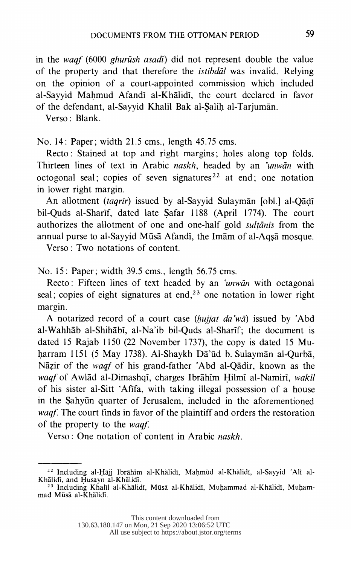in the waqf  $(6000 \text{ ghurush}$  asadi) did not represent double the value of the property and that therefore the *istibdal* was invalid. Relying on the opinion of a court-appointed commission which included al-Sayyid Mahmud Afandi al-Khalidi, the court declared in favor of the defendant, al-Sayyid Khalil Bak al-Salih al-Tarjuman.

Verso: Blank.

No. 14: Paper; width 21.5 cms., length 45.75 cms.

 Recto: Stained at top and right margins; holes along top folds. Thirteen lines of text in Arabic naskh, headed by an 'unwān with octogonal seal; copies of seven signatures<sup>22</sup> at end; one notation in lower right margin.

An allotment (taqrir) issued by al-Sayyid Sulayman [obl.] al-Qadi bil-Quds al-Sharif, dated late Safar 1188 (April 1774). The court authorizes the allotment of one and one-half gold *sultanis* from the annual purse to al-Sayyid Mūsā Afandī, the Imām of al-Aqsā mosque.

Verso: Two notations of content.

No. 15: Paper; width 39.5 cms., length 56.75 cms.

Recto: Fifteen lines of text headed by an 'unwan with octagonal seal; copies of eight signatures at end,<sup>23</sup> one notation in lower right margin.

A notarized record of a court case  $(hujjat da'w\bar{a})$  issued by 'Abd al-Wahhab al-Shihabi, al-Na'ib bil-Quds al-Sharif; the document is dated 15 Rajab 1150 (22 November 1737), the copy is dated 15 Mu harram 1151 (5 May 1738). Al-Shaykh Dā'ūd b. Sulaymān al-Ourbā, Nazir of the *waqf* of his grand-father 'Abd al-Qadir, known as the waqf of Awlad al-Dimashqi, charges Ibrahim Hilmi al-Namiri, wakil of his sister al-Sitt 'Afifa, with taking illegal possession of a house in the Sahyun quarter of Jerusalem, included in the aforementioned waqf. The court finds in favor of the plaintiff and orders the restoration of the property to the waqf.

Verso: One notation of content in Arabic naskh.

 <sup>22</sup> Including al-Hajj Ibrahim al-Khalidi, Mahmud al-Khalidi, al-Sayyid 'All al- Khalidi, and Husayn al-Khalidi.

<sup>&</sup>lt;sup>23</sup> Including Khalil al-Khālidī, Mūsā al-Khālidī, Muhammad al-Khālidī, Muhammad Mūsā al-Khālidī.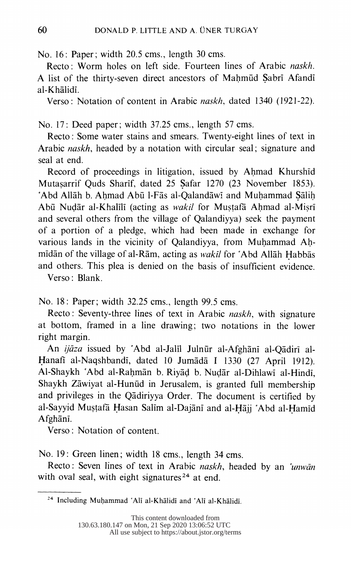No. 16: Paper; width 20.5 cms., length 30 cms.

 Recto: Worm holes on left side. Fourteen lines of Arabic naskh. A list of the thirty-seven direct ancestors of Mahmud Sabri Afandi al-Khalidi.

Verso: Notation of content in Arabic naskh, dated 1340 (1921-22).

No. 17: Deed paper; width 37.25 cms., length 57 cms.

 Recto: Some water stains and smears. Twenty-eight lines of text in Arabic naskh, headed by a notation with circular seal; signature and seal at end.

 Record of proceedings in litigation, issued by Ahmad Khurshid Mutasarrif Quds Sharif, dated 25 Safar 1270 (23 November 1853). 'Abd Allah b. Ahmad Abū l-Fās al-Qalandāwi and Muhammad Sālih Abii Nudar al-Khalili (acting as wakil for Mustafa Ahmad al-Misri and several others from the village of Qalandiyya) seek the payment of a portion of a pledge, which had been made in exchange for various lands in the vicinity of Qalandiyya, from Muhammad Ah midan of the village of al-Ram, acting as *wakil* for 'Abd Allah Habbas and others. This plea is denied on the basis of insufficient evidence.

Verso: Blank.

No. 18: Paper; width 32.25 cms., length 99.5 cms.

 Recto: Seventy-three lines of text in Arabic naskh, with signature at bottom, framed in a line drawing; two notations in the lower right margin.

An *ijāza* issued by 'Abd al-Jalīl Julnūr al-Afghānī al-Qādirī al- Hanafi al-Naqshbandi, dated 10 Jumada I 1330 (27 April 1912). Al-Shaykh 'Abd al-Rahman b. Riyad b. Nudar al-Dihlawi al-Hindi, Shaykh Zāwiyat al-Hunūd in Jerusalem, is granted full membership and privileges in the Qadiriyya Order. The document is certified by al-Sayyid Mustafa Hasan Salim al-Dajani and al-Hajj 'Abd al-Hamid Afghani.

Verso: Notation of content.

No. 19: Green linen; width 18 cms., length 34 cms.

Recto: Seven lines of text in Arabic naskh, headed by an 'unwan with oval seal, with eight signatures<sup>24</sup> at end.

 <sup>24</sup> Including Muhammad 'All al-Khalidi and 'Ali al-Khalidi.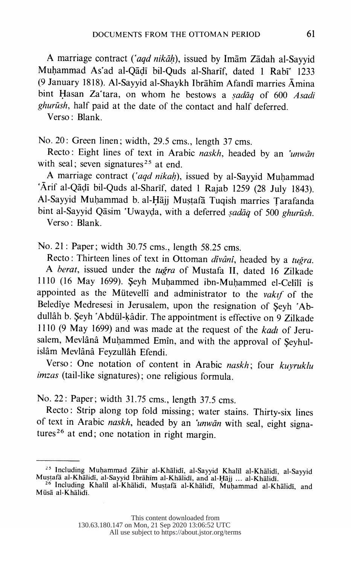A marriage contract ('aqd nikāh), issued by Imām Zādah al-Sayyid Muhammad As'ad al-Qadi bil-Quds al-Sharif, dated 1 Rabi' 1233 (9 January 1818). Al-Sayyid al-Shaykh Ibrahim Afandi marries Amina bint Hasan Za'tara, on whom he bestows a sadaq of 600 Asadi ghurüsh, half paid at the date of the contact and half deferred.

Verso: Blank.

No. 20: Green linen; width, 29.5 cms., length 37 cms.

Recto: Eight lines of text in Arabic naskh, headed by an 'unwan with seal; seven signatures<sup>25</sup> at end.

 A marriage contract ('aqd nikah), issued by al-Sayyid Muhammad 'Arif al-Qadi bil-Quds al-Sharif, dated 1 Rajab 1259 (28 July 1843). Al-Sayyid Muhammad b. al-Hajj Mustafa Tuqish marries Tarafanda bint al-Sayyid Qāsim 'Uwayda, with a deferred sadāq of 500 ghurūsh. Verso: Blank.

No. 21: Paper; width 30.75 cms., length 58.25 cms.

Recto: Thirteen lines of text in Ottoman divâni, headed by a tuğra. A berat, issued under the tugra of Mustafa II, dated 16 Zilkade 1110 (16 May 1699). \$eyh Muhammed ibn-Muhammed el-Celili is appointed as the Mütevelli and administrator to the vakif of the Beledîye Medresesi in Jerusalem, upon the resignation of Şeyh 'Ab dullah b. Seyh 'Abdiil-kadir. The appointment is effective on 9 Zilkade 1110 (9 May 1699) and was made at the request of the kadi of Jeru salem, Mevlânâ Muhammed Emîn, and with the approval of Şeyhulislam Mevlana Feyzullah Efendi.

Verso: One notation of content in Arabic naskh; four kuyruklu imzas (tail-like signatures); one religious formula.

No. 22: Paper; width 31.75 cms., length 37.5 cms.

 Recto: Strip along top fold missing; water stains. Thirty-six lines of text in Arabic naskh, headed by an 'unwān with seal, eight signatures<sup>26</sup> at end; one notation in right margin.

 <sup>25</sup> Including Muhammad Zahir al-Khalidi, al-Sayyid Khalil al-Khalidi, al-Sayyid Mustafa al-Khalidi, al-Sayyid ibrahim al-Khalidi, and al-Hajj ... al-Khalidi.

 <sup>26</sup> Including Khalil al-Khalidi, Mustafa al-Khalidi, Muhammad al-Khalidi, and Mūsā al-Khālidī.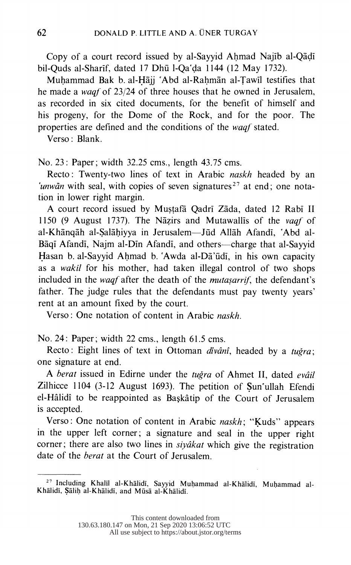Copy of a court record issued by al-Sayyid Ahmad Najib al-Qadi bil-Quds al-Sharif, dated 17 Dhu l-Qa'da 1144 (12 May 1732).

 Muhammad Bak b. al-Hajj 'Abd al-Rahman al-Tawil testifies that he made a *waqf* of 23/24 of three houses that he owned in Jerusalem, as recorded in six cited documents, for the benefit of himself and his progeny, for the Dome of the Rock, and for the poor. The properties are defined and the conditions of the *waaf* stated.

Verso: Blank.

No. 23: Paper; width 32.25 cms., length 43.75 cms.

Recto: Twenty-two lines of text in Arabic naskh headed by an 'unwān with seal, with copies of seven signatures<sup>27</sup> at end; one notation in lower right margin.

 A court record issued by Mustafa Qadri Zada, dated 12 Rabi II 1150 (9 August 1737). The Nazirs and Mutawallis of the *vaqf* of al-Khanqah al-Salahiyya in Jerusalem-Jud Allah Afandi, 'Abd al- Bāqī Afandī, Najm al-Dīn Afandī, and others-charge that al-Sayyid Hasan b. al-Sayyid Ahmad b. 'Awda al-Dā'ūdī, in his own capacity as a wakil for his mother, had taken illegal control of two shops included in the *waqf* after the death of the *mutasarrif*, the defendant's father. The judge rules that the defendants must pay twenty years' rent at an amount fixed by the court.

Verso: One notation of content in Arabic naskh.

No. 24: Paper; width 22 cms., length 61.5 cms.

Recto: Eight lines of text in Ottoman divâni, headed by a tuğra; one signature at end.

A berat issued in Edirne under the tuğra of Ahmet II, dated evâil Zilhicce 1104 (3-12 August 1693). The petition of Sun'ullah Efendi el-Halidi to be reappointed as Bagkatip of the Court of Jerusalem is accepted.

Verso: One notation of content in Arabic naskh; "Kuds" appears in the upper left corner; a signature and seal in the upper right corner; there are also two lines in *siyakat* which give the registration date of the *berat* at the Court of Jerusalem.

 <sup>27</sup> Including Khalil al-Khalidi, Sayyid Muhammad al-Khalidi, Muhammad al- Khālidī, Şālih al-Khālidī, and Mūsā al-Khālidī.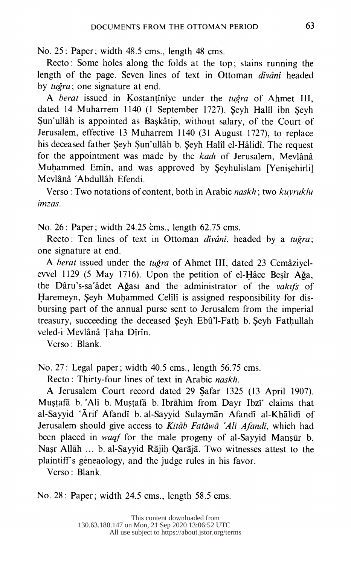No. 25: Paper; width 48.5 cms., length 48 cms.

 Recto: Some holes along the folds at the top; stains running the length of the page. Seven lines of text in Ottoman *divânî* headed by *tuğra*; one signature at end.

A berat issued in Kostantiniye under the tugra of Ahmet III, dated 14 Muharrem 1140 (1 September 1727). Şeyh Halîl ibn Şeyh Sun'ullah is appointed as BaSkatip, without salary, of the Court of Jerusalem, effective 13 Muharrem 1140 (31 August 1727), to replace his deceased father Şeyh Sun'ullâh b. Şeyh Halîl el-Hâlidî. The request for the appointment was made by the kadi of Jerusalem, Mevlânâ Muhammed Emîn, and was approved by Şeyhulislam [Yenişehirli] Mevlana 'Abdullah Efendi.

 Verso: Two notations of content, both in Arabic naskh; two kuyruklu imzas.

No. 26: Paper; width 24.25 cms., length 62.75 cms.

Recto: Ten lines of text in Ottoman divâni, headed by a tuğra; one signature at end.

A berat issued under the tugra of Ahmet III, dated 23 Cemâzivelevvel 1129 (5 May 1716). Upon the petition of el-Hâcc Beşîr Ağa, the Dâru's-sa'âdet Ağası and the administrator of the vakifs of Haremeyn, Seyh Muhammed Celili is assigned responsibility for dis bursing part of the annual purse sent to Jerusalem from the imperial treasury, succeeding the deceased Seyh Ebû'l-Fath b. Seyh Fathullah veled-i Mevlana Taha Dirin.

Verso: Blank.

No. 27: Legal paper; width 40.5 cms., length 56.75 cms.

Recto: Thirty-four lines of text in Arabic naskh.

 A Jerusalem Court record dated 29 Safar 1325 (13 April 1907). Mustafa b. 'All b. Mustafa b. Ibrahim from Dayr Ibzi' claims that al-Sayyid 'Arif Afandi b. al-Sayyid Sulayman Afandi al-Khalidi of Jerusalem should give access to Kitab Fatawa 'Ali Afandi, which had been placed in waqf for the male progeny of al-Sayyid Mansur b. Nasr Allah ... b. al-Sayyid Rajih Qaraja. Two witnesses attest to the plaintiff's geneaology, and the judge rules in his favor.

Verso: Blank.

No. 28: Paper; width 24.5 cms., length 58.5 cms.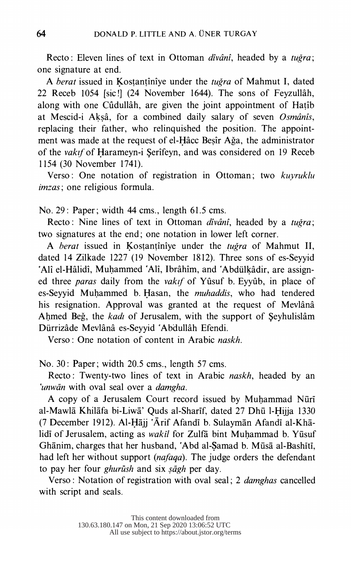Recto: Eleven lines of text in Ottoman divâni, headed by a tuğra; one signature at end.

A berat issued in Kostantiniye under the tugra of Mahmut I, dated 22 Receb 1054 [sic!] (24 November 1644). The sons of Feyzullah, along with one Cûdullâh, are given the joint appointment of Hatib at Mescid-i Aksâ, for a combined daily salary of seven Osmânîs, replacing their father, who relinquished the position. The appoint ment was made at the request of el-Hâcc Besîr Ağa, the administrator of the *vakif* of Harameyn-i Serifeyn, and was considered on 19 Receb 1154 (30 November 1741).

 Verso: One notation of registration in Ottoman; two kuyruklu imzas; one religious formula.

No. 29: Paper; width 44 cms., length 61.5 cms.

Recto: Nine lines of text in Ottoman divâni, headed by a tugra; two signatures at the end; one notation in lower left corner.

A berat issued in Kostantînîye under the tuğra of Mahmut II, dated 14 Zilkade 1227 (19 November 1812). Three sons of es-Seyyid 'Alî el-Hâlidî, Muhammed 'Alî, Ibrâhîm, and 'Abdülkâdir, are assigned three paras daily from the vakif of Yûsuf b. Eyyûb, in place of es-Seyyid Muhammed b. Hasan, the muhaddis, who had tendered his resignation. Approval was granted at the request of Mevlânâ Ahmed Beğ, the kadi of Jerusalem, with the support of Seyhulislâm Diurrizade Mevlana es-Seyyid 'Abdullah Efendi.

Verso: One notation of content in Arabic naskh.

No. 30: Paper; width 20.5 cms., length 57 cms.

Recto: Twenty-two lines of text in Arabic *naskh*, headed by an 'unwān with oval seal over a *damgha*.

A copy of a Jerusalem Court record issued by Muhammad Nūrī al-Mawlā Khilāfa bi-Liwā' Quds al-Sharīf, dated 27 Dhū l-Hijja 1330 (7 December 1912). Al-Hajj 'Arif Afandi b. Sulayman Afandi al-Kha lidi of Jerusalem, acting as wakil for Zulfa bint Muhammad b. Yūsuf Ghānim, charges that her husband, 'Abd al-Samad b. Mūsā al-Bashītī, had left her without support *(nafaqa)*. The judge orders the defendant to pay her four *ghurush* and six sagh per day.

 Verso: Notation of registration with oval seal; 2 damghas cancelled with script and seals.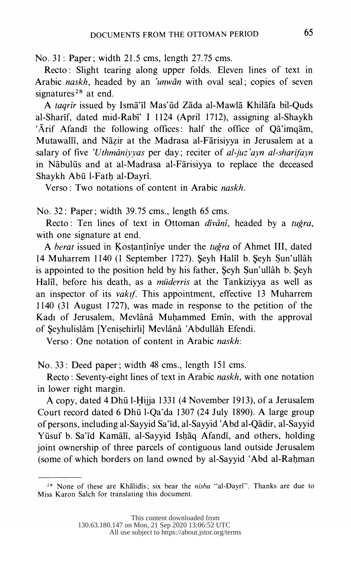No. 31: Paper; width 21.5 cms, length 27.75 cms.

 Recto: Slight tearing along upper folds. Eleven lines of text in Arabic naskh, headed by an 'unwān with oval seal; copies of seven signatures<sup>28</sup> at end.

 A taqrir issued by Isma'il Mas'ud Zada al-Mawla Khilafa bil-Quds al-Sharif, dated mid-Rabi<sup>c</sup> I 1124 (April 1712), assigning al-Shaykh 'Arif Afandi the following offices: half the office of Oa'imqam, Mutawalli, and Nazir at the Madrasa al-Farisiyya in Jerusalem at a salary of five 'Uthmāniyyas per day; reciter of al-juz'ayn al-sharifayn in Nābulūs and at al-Madrasa al-Fārisiyya to replace the deceased Shaykh Abū l-Fath al-Dayrī.

Verso: Two notations of content in Arabic naskh.

No. 32: Paper; width 39.75 cms., length 65 cms.

Recto: Ten lines of text in Ottoman dîvânî, headed by a tuğra, with one signature at end.

A berat issued in Kostantinive under the tugra of Ahmet III, dated 14 Muharrem 1140 (1 September 1727). Seyh Halîl b. Şeyh Şun'ullâh is appointed to the position held by his father, Seyh Sun'ullâh b. Seyh Halil, before his death, as a *müderris* at the Tankiziyya as well as an inspector of its vakif. This appointment, effective 13 Muharrem 1140 (31 August 1727), was made in response to the petition of the Kadi of Jerusalem, Mevlânâ Muhammed Emîn, with the approval of Seyhulislâm [Yenisehirli] Mevlânâ 'Abdullâh Efendi.

Verso: One notation of content in Arabic naskh:

No. 33: Deed paper; width 48 cms., length 151 cms.

Recto: Seventy-eight lines of text in Arabic *naskh*, with one notation in lower right margin.

 A copy, dated 4 Dhu 1-Hijja 1331 (4 November 1913), of a Jerusalem Court record dated 6 Dhū l-Qa'da 1307 (24 July 1890). A large group of persons, including al-Sayyid Sa'id, al-Sayyid 'Abd al-Qadir, al-Sayyid Yūsuf b. Sa'īd Kamālī, al-Sayyid Ishāq Afandī, and others, holding joint ownership of three parcels of contiguous land outside Jerusalem (some of which borders on land owned by al-Sayyid 'Abd al-Rahman

<sup>&</sup>lt;sup>28</sup> None of these are Khalidis; six bear the nisba "al-Dayri". Thanks are due to Miss Karon Salch for translating this document.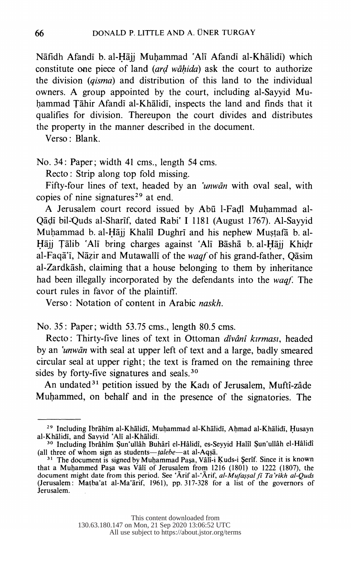Nafidh Afandi b. al-Hajj Muhammad 'All Afandi al-Khalidi) which constitute one piece of land  $(\text{ard } w\ddot{\text{a}}\text{hida})$  ask the court to authorize the division (qisma) and distribution of this land to the individual owners. A group appointed by the court, including al-Sayyid Mu hammad Tahir Afandi al-Khalidi, inspects the land and finds that it qualifies for division. Thereupon the court divides and distributes the property in the manner described in the document.

Verso: Blank.

No. 34: Paper; width 41 cms., length 54 cms.

Recto: Strip along top fold missing.

Fifty-four lines of text, headed by an 'unwān with oval seal, with copies of nine signatures<sup>29</sup> at end.

A Jerusalem court record issued by Abū l-Fadl Muhammad al- Qadi bil-Quds al-Sharif, dated Rabi' I 1181 (August 1767). Al-Sayyid Muhammad b. al-Hajj Khalil Dughri and his nephew Mustafa b. al- .Hajj Talib 'Ali bring charges against 'Ali Basha b. al-Hajj Khidr al-Faqa'i, Nazir and Mutawalli of the *waqf* of his grand-father, Qasim al-Zardkash, claiming that a house belonging to them by inheritance had been illegally incorporated by the defendants into the waqf. The court rules in favor of the plaintiff.

Verso: Notation of content in Arabic naskh.

No. 35: Paper; width 53.75 cms., length 80.5 cms.

Recto: Thirty-five lines of text in Ottoman *divânî kırması*, headed by an 'unwān with seal at upper left of text and a large, badly smeared circular seal at upper right; the text is framed on the remaining three sides by forty-five signatures and seals.<sup>30</sup>

An undated<sup>31</sup> petition issued by the Kadı of Jerusalem, Muftî-zâde Muhammed, on behalf and in the presence of the signatories. The

 <sup>29</sup> Including Ibrahim al-Khalidi, Muhammad al-Khalidi, Ahmad al-Khalidi, Husayn al-Khalidi, and Sayyid 'Ali al-Khalidi.

 <sup>30</sup> Including Ibrahim Sun'ullah Buhari el-Halidi, es-Seyyid Halil Sun'ullah el-Halidi (all three of whom sign as students—*talebe*—at al-Aqsa.

<sup>&</sup>lt;sup>31</sup> The document is signed by Muhammad Paşa, Vâlî-i Kuds-i Şerîf. Since it is known that a Muhammed Paşa was Vâlî of Jerusalem from 1216 (1801) to 1222 (1807), the document might date from this period. See 'Arif al-'Arif, al- $\dot{M}u f a s s a l f$ i Ta'rikh al-Quds (Jerusalem: Matba'at al-Ma'arif, 1961), pp. 317-328 for a list of the governors of Jerusalem.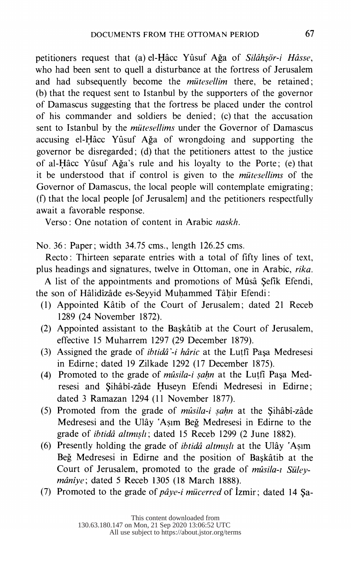petitioners request that (a) el-Hâcc Yûsuf Ağa of Silâhsör-i Hâsse, who had been sent to quell a disturbance at the fortress of Jerusalem and had subsequently become the *mütesellim* there, be retained; (b) that the request sent to Istanbul by the supporters of the governor of Damascus suggesting that the fortress be placed under the control of his commander and soldiers be denied; (c) that the accusation sent to Istanbul by the *mütesellims* under the Governor of Damascus accusing el-Hâcc Yûsuf Ağa of wrongdoing and supporting the governor be disregarded; (d) that the petitioners attest to the justice of al-Hâcc Yûsuf Ağa's rule and his loyalty to the Porte; (e) that it be understood that if control is given to the *mütesellims* of the Governor of Damascus, the local people will contemplate emigrating; (f) that the local people [of Jerusalem] and the petitioners respectfully await a favorable response.

Verso: One notation of content in Arabic naskh.

No. 36: Paper; width 34.75 cms., length 126.25 cms.

 Recto: Thirteen separate entries with a total of fifty lines of text, plus headings and signatures, twelve in Ottoman, one in Arabic, rika.

A list of the appointments and promotions of Mûsâ Şefîk Efendi, the son of Halidizade es-Seyyid Muhammed Tahir Efendi:

- (1) Appointed Katib of the Court of Jerusalem; dated 21 Receb 1289 (24 November 1872).
- (2) Appointed assistant to the Baskatib at the Court of Jerusalem, effective 15 Muharrem 1297 (29 December 1879).
- (3) Assigned the grade of *ibtida<sup>* $\lambda$ *</sup>-i haric* at the Lutfi Pasa Medresesi in Edirne; dated 19 Zilkade 1292 (17 December 1875).
- (4) Promoted to the grade of  $m\hat{i}$ sila-i sahn at the Lutfi Paşa Med resesi and \$ihabi-zade Huseyn Efendi Medresesi in Edirne; dated 3 Ramazan 1294 (11 November 1877).
- (5) Promoted from the grade of  $m\hat{i} sila i sahn$  at the Sihabi-zade Medresesi and the Ulay 'Asim Beg Medresesi in Edirne to the grade of *ibtidâ altmisli*; dated 15 Receb 1299 (2 June 1882).
- (6) Presently holding the grade of *ibtida altmisli* at the Ulay 'Asim Beg Medresesi in Edirne and the position of Baskatib at the Court of Jerusalem, promoted to the grade of *mûsila-i Sülev*mânîye; dated 5 Receb 1305 (18 March 1888).
- (7) Promoted to the grade of  $p\hat{a}ye-i$  mücerred of  $\hat{I}zmir$ ; dated 14 Sa-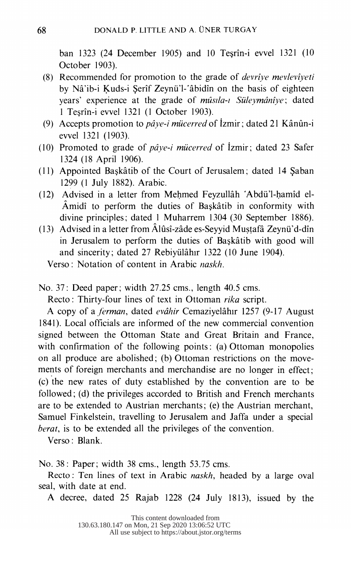ban 1323 (24 December 1905) and 10 Tegrin-i evvel 1321 (10 October 1903).

- (8) Recommended for promotion to the grade of *devrive mevleviyeti*  by Na'ib-i Kuds-i Serif Zeynii'l-'abidin on the basis of eighteen years' experience at the grade of mûsila-i Süleymânîye; dated 1 Tesrîn-i evvel 1321 (1 October 1903).
- (9) Accepts promotion to *pâye-i mücerred* of  $\lim_{x \to 0}$ ; dated 21 Kânûn-i evvel 1321 (1903).
- (10) Promoted to grade of  $p\hat{a}ye-i$  mücerred of  $\hat{I}z$ mir; dated 23 Safer 1324 (18 April 1906).
- (11) Appointed Baskâtib of the Court of Jerusalem; dated 14 Saban 1299 (1 July 1882). Arabic.
- (12) Advised in a letter from Mehmed Feyzullah 'Abdii'l-hamid el- Amidi to perform the duties of BaSkatib in conformity with divine principles; dated 1 Muharrem 1304 (30 September 1886).
- (13) Advised in a letter from Alfisi-zade es-Seyyid Mustafa Zeynii'd-din in Jerusalem to perform the duties of Başkâtib with good will and sincerity; dated 27 Rebiyiilahir 1322 (10 June 1904).

Verso: Notation of content in Arabic naskh.

No. 37: Deed paper; width 27.25 cms., length 40.5 cms.

Recto: Thirty-four lines of text in Ottoman rika script.

A copy of a *ferman*, dated *evâhir* Cemaziyelâhır 1257 (9-17 August 1841). Local officials are informed of the new commercial convention signed between the Ottoman State and Great Britain and France, with confirmation of the following points: (a) Ottoman monopolies on all produce are abolished; (b) Ottoman restrictions on the move ments of foreign merchants and merchandise are no longer in effect; (c) the new rates of duty established by the convention are to be followed; (d) the privileges accorded to British and French merchants are to be extended to Austrian merchants; (e) the Austrian merchant, Samuel Finkelstein, travelling to Jerusalem and Jaffa under a special berat, is to be extended all the privileges of the convention.

Verso: Blank.

No. 38: Paper; width 38 cms., length 53.75 cms.

Recto: Ten lines of text in Arabic *naskh*, headed by a large oval seal, with date at end.

A decree, dated 25 Rajab 1228 (24 July 1813), issued by the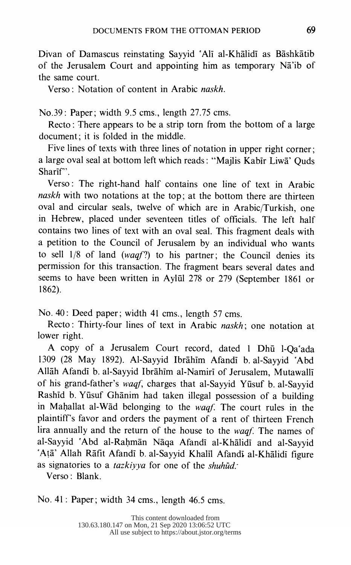Divan of Damascus reinstating Sayyid 'Ali al-Khalidi as Bashkatib of the Jerusalem Court and appointing him as temporary Na'ib of the same court.

Verso: Notation of content in Arabic naskh.

No.39: Paper; width 9.5 cms., length 27.75 cms.

 Recto: There appears to be a strip torn from the bottom of a large document; it is folded in the middle.

Five lines of texts with three lines of notation in upper right corner; a large oval seal at bottom left which reads: "Majlis Kabir Liwa' Quds Sharif".

 Verso: The right-hand half contains one line of text in Arabic naskh with two notations at the top; at the bottom there are thirteen oval and circular seals, twelve of which are in Arabic/Turkish, one in Hebrew, placed under seventeen titles of officials. The left half contains two lines of text with an oval seal. This fragment deals with a petition to the Council of Jerusalem by an individual who wants to sell  $1/8$  of land (waqf?) to his partner; the Council denies its permission for this transaction. The fragment bears several dates and seems to have been written in Aylul 278 or 279 (September 1861 or 1862).

No. 40: Deed paper; width 41 cms., length 57 cms.

 Recto: Thirty-four lines of text in Arabic naskh; one notation at lower right.

 A copy of a Jerusalem Court record, dated 1 Dhi l-Qa'ada 1309 (28 May 1892). Al-Sayyid Ibrahim Afandi b. al-Sayyid 'Abd Allah Afandi b. al-Sayyid Ibrahim al-Namiri of Jerusalem, Mutawalli of his grand-father's waqf, charges that al-Sayyid Yūsuf b. al-Sayyid Rashid b. Yūsuf Ghānim had taken illegal possession of a building in Mahallat al-Wad belonging to the waqf. The court rules in the plaintiff's favor and orders the payment of a rent of thirteen French lira annually and the return of the house to the waqf. The names of al-Sayyid 'Abd al-Rahman Naqa Afandi al-Khalidi and al-Sayyid 'Ata' Allah Rafit Afandi b. al-Sayyid Khalil Afandi al-Khalidi figure as signatories to a tazkiyya for one of the shuhud.

Verso: Blank.

No. 41: Paper; width 34 cms., length 46.5 cms.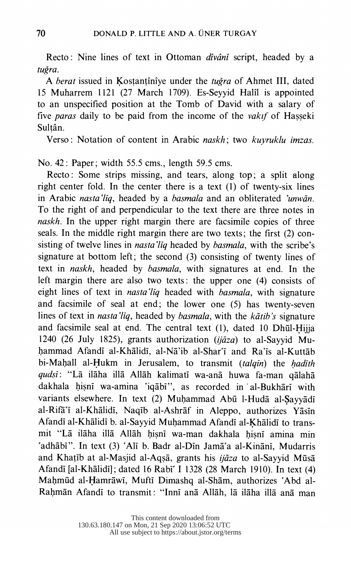Recto: Nine lines of text in Ottoman *divânî* script, headed by a tuğra.

A berat issued in Kostantinive under the tugra of Ahmet III, dated 15 Muharrem 1121 (27 March 1709). Es-Seyyid Halil is appointed to an unspecified position at the Tomb of David with a salary of five *paras* daily to be paid from the income of the *vakif* of Hasseki Sultân.

Verso: Notation of content in Arabic naskh; two kuyruklu imzas.

No. 42: Paper; width 55.5 cms., length 59.5 cms.

 Recto: Some strips missing, and tears, along top; a split along right center fold. In the center there is a text (1) of twenty-six lines in Arabic nasta'liq, headed by a basmala and an obliterated 'unwān. To the right of and perpendicular to the text there are three notes in naskh. In the upper right margin there are facsimile copies of three seals. In the middle right margin there are two texts; the first (2) con sisting of twelve lines in *nasta'liq* headed by *basmala*, with the scribe's signature at bottom left; the second (3) consisting of twenty lines of text in naskh, headed by basmala, with signatures at end. In the left margin there are also two texts: the upper one (4) consists of eight lines of text in *nasta'liq* headed with *basmala*, with signature and facsimile of seal at end; the lower one (5) has twenty-seven lines of text in *nasta'liq*, headed by *basmala*, with the  $k\bar{a}t$ *ib's* signature and facsimile seal at end. The central text (1), dated 10 Dhūl-Hijja 1240 (26 July 1825), grants authorization ( $ii\bar{a}za$ ) to al-Sayyid Muhammad Afandī al-Khālidī, al-Nā'ib al-Shar'ī and Ra'is al-Kuttāb bi-Mahall al-Hukm in Jerusalem, to transmit (talqin) the hadith qudsi: "Lā ilāha illā Allāh kalimatī wa-anā huwa fa-man qālahā dakhala hisni wa-amina 'iqabi", as recorded in 'al-Bukhari with variants elsewhere. In text (2) Muhammad Abū l-Hudā al-Sayyādī al-Rifa'i al-Khalidi, Naqib al-Ashraf in Aleppo, authorizes Yasin Afandi al-Khalidi b. al-Sayyid Muhammad Afandi al-Khalidi to trans mit "La ilaha illa Allah hisni wa-man dakhala hisni amina min 'adhābī". In text (3) 'Alī b. Badr al-Dīn Jamā'a al-Kinānī, Mudarris and Khațib at al-Masjid al-Aqșā, grants his ijāza to al-Sayyid Mūsā Afandi [al-Khalidi]; dated 16 Rabi' I 1328 (28 March 1910). In text (4) Mahmud al-Hamrawi, Mufti Dimashq al-Sham, authorizes 'Abd al- Rahman Afandi to transmit: "Inni ana Allah, la ilaha illa ana man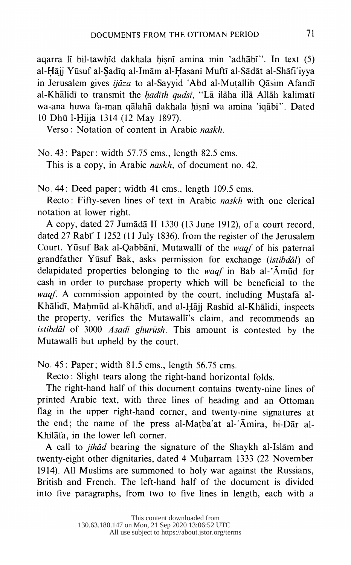aqarra li bil-tawhid dakhala hisni amina min 'adhabi". In text (5) al-Hājj Yūsuf al-Sadīq al-Imām al-Hasanī Muftī al-Sādāt al-Shāfi'iyya in Jerusalem gives *ijāza* to al-Sayyid 'Abd al-Mutallib Qāsim Afandī al-Khālidī to transmit the *hadīth qudsī*, "Lā ilāha illā Allāh kalimatī wa-ana huwa fa-man qalaha dakhala hisni wa amina 'iqabi". Dated 10 Dhu 1-Hijja 1314 (12 May 1897).

Verso: Notation of content in Arabic naskh.

 No. 43: Paper: width 57.75 cms., length 82.5 cms. This is a copy, in Arabic naskh, of document no. 42.

No. 44: Deed paper; width 41 cms., length 109.5 cms.

 Recto: Fifty-seven lines of text in Arabic naskh with one clerical notation at lower right.

 A copy, dated 27 Jumada II 1330 (13 June 1912), of a court record, dated 27 Rabi' I 1252 (11 July 1836), from the register of the Jerusalem Court. Yusuf Bak al-Qabbani, Mutawalli of the *waaf* of his paternal grandfather Yūsuf Bak, asks permission for exchange (istibdal) of delapidated properties belonging to the waqf in Bab al-'Amud for cash in order to purchase property which will be beneficial to the waqf. A commission appointed by the court, including Mustafa al- Khalidi, Mahmud al-Khalidi, and al-Hajj Rashid al-Khalidi, inspects the property, verifies the Mutawalli's claim, and recommends an istibdal of 3000 Asadi ghurush. This amount is contested by the Mutawalli but upheld by the court.

No. 45: Paper; width 81.5 cms., length 56.75 cms.

Recto: Slight tears along the right-hand horizontal folds.

 The right-hand half of this document contains twenty-nine lines of printed Arabic text, with three lines of heading and an Ottoman flag in the upper right-hand corner, and twenty-nine signatures at the end; the name of the press al-Matba'at al-'Āmira, bi-Dār al-Khilafa, in the lower left corner.

A call to *jihad* bearing the signature of the Shaykh al-Islam and twenty-eight other dignitaries, dated 4 Muharram 1333 (22 November 1914). All Muslims are summoned to holy war against the Russians, British and French. The left-hand half of the document is divided into five paragraphs, from two to five lines in length, each with a